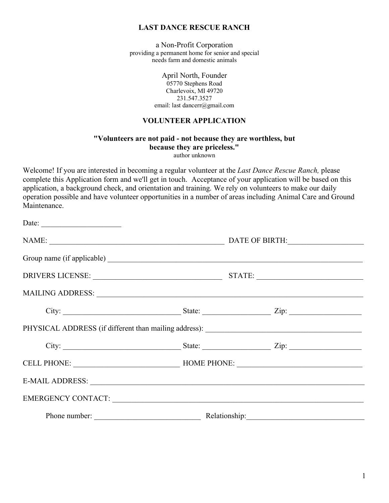#### **LAST DANCE RESCUE RANCH**

a Non-Profit Corporation providing a permanent home for senior and special needs farm and domestic animals

> April North, Founder 05770 Stephens Road Charlevoix, MI 49720 231.547.3527 email: last dancerr@gmail.com

#### **VOLUNTEER APPLICATION**

# **"Volunteers are not paid - not because they are worthless, but because they are priceless."**

author unknown

Welcome! If you are interested in becoming a regular volunteer at the *Last Dance Rescue Ranch,* please complete this Application form and we'll get in touch. Acceptance of your application will be based on this application, a background check, and orientation and training. We rely on volunteers to make our daily operation possible and have volunteer opportunities in a number of areas including Animal Care and Ground Maintenance.

| Date: $\qquad \qquad$                                                                                                                                                                                                          |                                     |                                                                                   |  |
|--------------------------------------------------------------------------------------------------------------------------------------------------------------------------------------------------------------------------------|-------------------------------------|-----------------------------------------------------------------------------------|--|
|                                                                                                                                                                                                                                |                                     |                                                                                   |  |
|                                                                                                                                                                                                                                |                                     |                                                                                   |  |
|                                                                                                                                                                                                                                |                                     | DRIVERS LICENSE: STATE:                                                           |  |
|                                                                                                                                                                                                                                |                                     |                                                                                   |  |
|                                                                                                                                                                                                                                |                                     |                                                                                   |  |
|                                                                                                                                                                                                                                |                                     | PHYSICAL ADDRESS (if different than mailing address): ___________________________ |  |
|                                                                                                                                                                                                                                |                                     |                                                                                   |  |
|                                                                                                                                                                                                                                | CELL PHONE: HOME PHONE: HOME PHONE: |                                                                                   |  |
|                                                                                                                                                                                                                                |                                     |                                                                                   |  |
| EMERGENCY CONTACT: NEXTRAIN CONTACT CONTACT CONTACT CONTACT CONTACT CONTACT CONTACT CONTACT CONTACT CONTACT CONTACT CONTACT CONTACT CONTACT CONTACT CONTACT CONTACT CONTACT CONTACT CONTACT CONTACT CONTACT CONTACT CONTACT CO |                                     |                                                                                   |  |
|                                                                                                                                                                                                                                |                                     | Phone number: <u>Nelationship:</u> Relationship:                                  |  |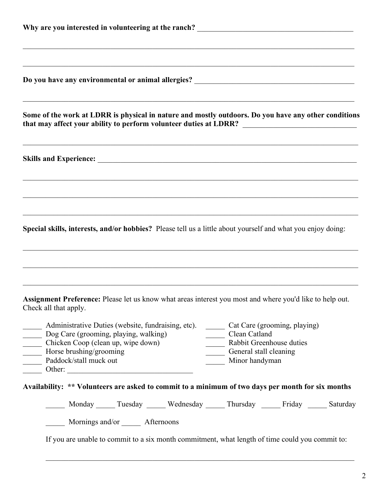| ,我们也不能在这里的时候,我们也不能在这里的时候,我们也不能会在这里,我们也不能会在这里的时候,我们也不能会在这里的时候,我们也不能会在这里的时候,我们也不能会<br>Do you have any environmental or animal allergies? ______________________________                                                                                                                                           |  |  |  |  |
|-----------------------------------------------------------------------------------------------------------------------------------------------------------------------------------------------------------------------------------------------------------------------------------------------------------------|--|--|--|--|
| Some of the work at LDRR is physical in nature and mostly outdoors. Do you have any other conditions                                                                                                                                                                                                            |  |  |  |  |
|                                                                                                                                                                                                                                                                                                                 |  |  |  |  |
|                                                                                                                                                                                                                                                                                                                 |  |  |  |  |
| Special skills, interests, and/or hobbies? Please tell us a little about yourself and what you enjoy doing:                                                                                                                                                                                                     |  |  |  |  |
|                                                                                                                                                                                                                                                                                                                 |  |  |  |  |
| Assignment Preference: Please let us know what areas interest you most and where you'd like to help out.<br>Check all that apply.                                                                                                                                                                               |  |  |  |  |
| Cat Care (grooming, playing)<br>Administrative Duties (website, fundraising, etc).<br>Dog Care (grooming, playing, walking)<br>Clean Catland<br>Rabbit Greenhouse duties<br>Chicken Coop (clean up, wipe down)<br>Horse brushing/grooming<br>Paddock/stall muck out<br>General stall cleaning<br>Minor handyman |  |  |  |  |
| Availability: ** Volunteers are asked to commit to a minimum of two days per month for six months                                                                                                                                                                                                               |  |  |  |  |
| Monday Tuesday Wednesday Thursday Friday Saturday                                                                                                                                                                                                                                                               |  |  |  |  |
| Mornings and/or _______ Afternoons<br>If you are unable to commit to a six month commitment, what length of time could you commit to:                                                                                                                                                                           |  |  |  |  |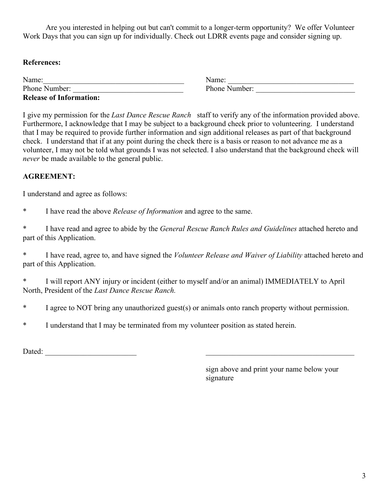Are you interested in helping out but can't commit to a longer-term opportunity? We offer Volunteer Work Days that you can sign up for individually. Check out LDRR events page and consider signing up.

# **References:**

| Name:                          | Name:         |
|--------------------------------|---------------|
| Phone Number:                  | Phone Number: |
| <b>Release of Information:</b> |               |

I give my permission for the *Last Dance Rescue Ranch* staff to verify any of the information provided above. Furthermore, I acknowledge that I may be subject to a background check prior to volunteering. I understand that I may be required to provide further information and sign additional releases as part of that background check. I understand that if at any point during the check there is a basis or reason to not advance me as a volunteer, I may not be told what grounds I was not selected. I also understand that the background check will *never* be made available to the general public.

# **AGREEMENT:**

I understand and agree as follows:

\* I have read the above *Release of Information* and agree to the same.

\* I have read and agree to abide by the *General Rescue Ranch Rules and Guidelines* attached hereto and part of this Application.

\* I have read, agree to, and have signed the *Volunteer Release and Waiver of Liability* attached hereto and part of this Application.

\* I will report ANY injury or incident (either to myself and/or an animal) IMMEDIATELY to April North, President of the *Last Dance Rescue Ranch.*

- \* I agree to NOT bring any unauthorized guest(s) or animals onto ranch property without permission.
- \* I understand that I may be terminated from my volunteer position as stated herein.

Dated:

sign above and print your name below your signature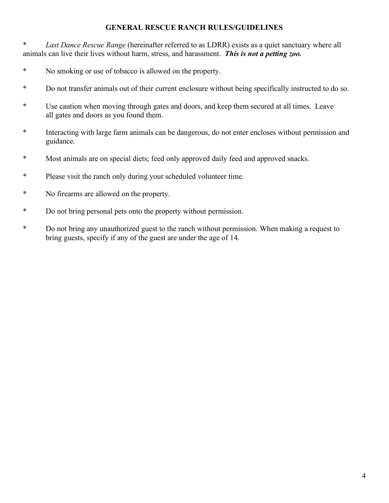### **GENERAL RESCUE RANCH RULES/GUIDELINES**

\* *Last Dance Rescue Range* (hereinafter referred to as LDRR) exists as a quiet sanctuary where all animals can live their lives without harm, stress, and harassment. *This is not a petting zoo.*

- \* No smoking or use of tobacco is allowed on the property.
- \* Do not transfer animals out of their current enclosure without being specifically instructed to do so.
- \* Use caution when moving through gates and doors, and keep them secured at all times. Leave all gates and doors as you found them.
- \* Interacting with large farm animals can be dangerous, do not enter encloses without permission and guidance.
- \* Most animals are on special diets; feed only approved daily feed and approved snacks.
- \* Please visit the ranch only during your scheduled volunteer time.
- \* No firearms are allowed on the property.
- \* Do not bring personal pets onto the property without permission.
- \* Do not bring any unauthorized guest to the ranch without permission. When making a request to bring guests, specify if any of the guest are under the age of 14.